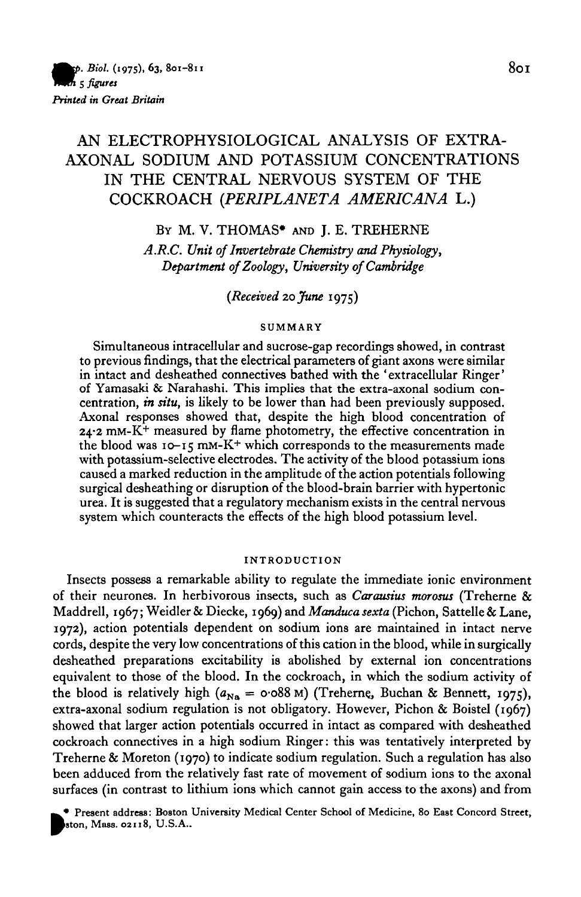# AN ELECTROPHYSIOLOGICAL ANALYSIS OF EXTRA-AXONAL SODIUM AND POTASSIUM CONCENTRATIONS IN THE CENTRAL NERVOUS SYSTEM OF THE COCKROACH *(PERIPLANETA AMERICANA* L.)

BY M. V. THOMAS\* AND J. E. TREHERNE

*A.R.C. Unit of Invertebrate Chemistry and Physiology, Department of Zoology, University of Cambridge*

*{Received* 20 *June* 1975)

### **SUMMARY**

Simultaneous intracellular and sucrose-gap recordings showed, in contrast to previous findings, that the electrical parameters of giant axons were similar in intact and desheathed connectives bathed with the 'extracellular Ringer' of Yamasaki & Narahashi. This implies that the extra-axonal sodium concentration,  $\dot{m} \, \dot{s}$  it likely to be lower than had been previously su  $24.2 \text{ mm-K}^+$  measured by flame photometry, the effective concentration in the blood was  $10-15$  mm-K<sup>+</sup> which corresponds to the measurements made with potassium-selective electrodes. The activity of the blood potassium ions caused a marked reduction in the amplitude of the action potentials following surgical desheathing or disruption of the blood-brain barrier with hypertonic urea. It is suggested that a regulatory mechanism exists in the central nervous system which counteracts the effects of the high blood potassium level.

#### **INTRODUCTION**

Insects possess a remarkable ability to regulate the immediate ionic environment of their neurones. In herbivorous insects, such as *Carausius morosus* (Treherne & Maddrell, 1967; Weidler & Diecke, 1969) and *Manduca sexta* (Pichon, Sattelle & Lane, 1972), action potentials dependent on sodium ions are maintained in intact nerve cords, despite the very low concentrations of this cation in the blood, while in surgically desheathed preparations excitability is abolished by external ion concentrations equivalent to those of the blood. In the cockroach, in which the sodium activity of the blood is relatively high ( $a_{\text{Na}} = \text{o} \cdot \text{o} 88 \text{ M}$ ) (Treherne, Buchan & Bennett, 1975), extra-axonal sodium regulation is not obligatory. However, Pichon & Boistel (1967) showed that larger action potentials occurred in intact as compared with desheathed cockroach connectives in a high sodium Ringer: this was tentatively interpreted by Treherne & Moreton (1970) to indicate sodium regulation. Such a regulation has also been adduced from the relatively fast rate of movement of sodium ions to the axonal surfaces (in contrast to lithium ions which cannot gain access to the axons) and from

**^ # Present address: Boston University Medical Center School of Medicine, 80 East Concord Street, Baton,** *Mass.* **02118, U.S.A..**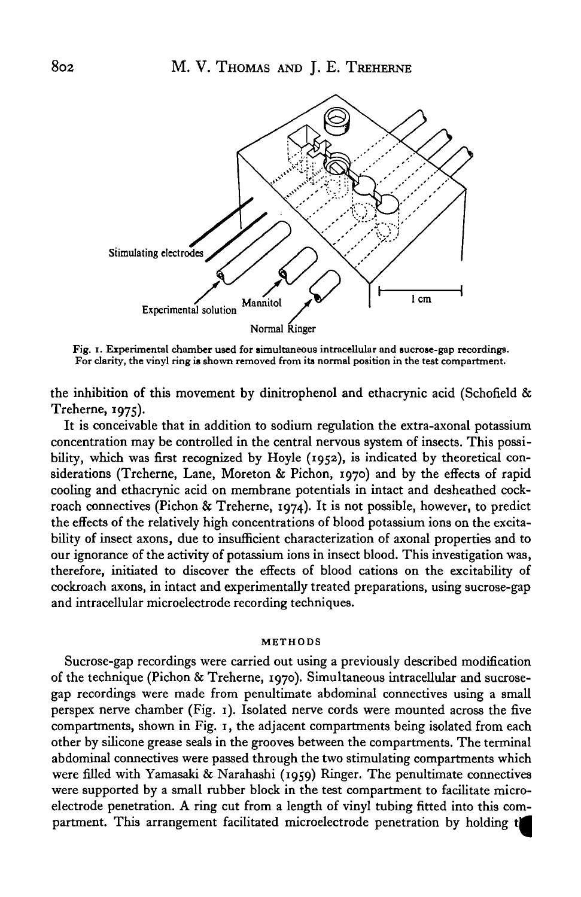

**Fig. i. Experimental chamber used for simultaneous intracellular and sucrose-gap recordings. For clarity, the vinyl ring is shown removed from its normal position in the test compartment.**

the inhibition of this movement by dinitrophenol and ethacrynic acid (Schofield & Treherne, 1975).

It is conceivable that in addition to sodium regulation the extra-axonal potassium concentration may be controlled in the central nervous system of insects. This possibility, which was first recognized by Hoyle (1952), is indicated by theoretical considerations (Treherne, Lane, Moreton & Pichon, 1970) and by the effects of rapid cooling and ethacrynic acid on membrane potentials in intact and desheathed cockroach connectives (Pichon & Treherne, 1974). It is not possible, however, to predict the effects of the relatively high concentrations of blood potassium ions on the excitability of insect axons, due to insufficient characterization of axonal properties and to our ignorance of the activity of potassium ions in insect blood. This investigation was, therefore, initiated to discover the effects of blood cations on the excitability of cockroach axons, in intact and experimentally treated preparations, using sucrose-gap and intracellular microelectrode recording techniques.

#### **METHODS**

Sucrose-gap recordings were carried out using a previously described modification of the technique (Pichon & Treherne, 1970). Simultaneous intracellular and sucrosegap recordings were made from penultimate abdominal connectives using a small perspex nerve chamber (Fig. 1). Isolated nerve cords were mounted across the five compartments, shown in Fig. 1, the adjacent compartments being isolated from each other by silicone grease seals in the grooves between the compartments. The terminal abdominal connectives were passed through the two stimulating compartments which were filled with Yamasaki & Narahashi (1959) Ringer. The penultimate connectives were supported by a small rubber block in the test compartment to facilitate microelectrode penetration. A ring cut from a length of vinyl tubing fitted into this compartment. This arrangement facilitated microelectrode penetration by holding t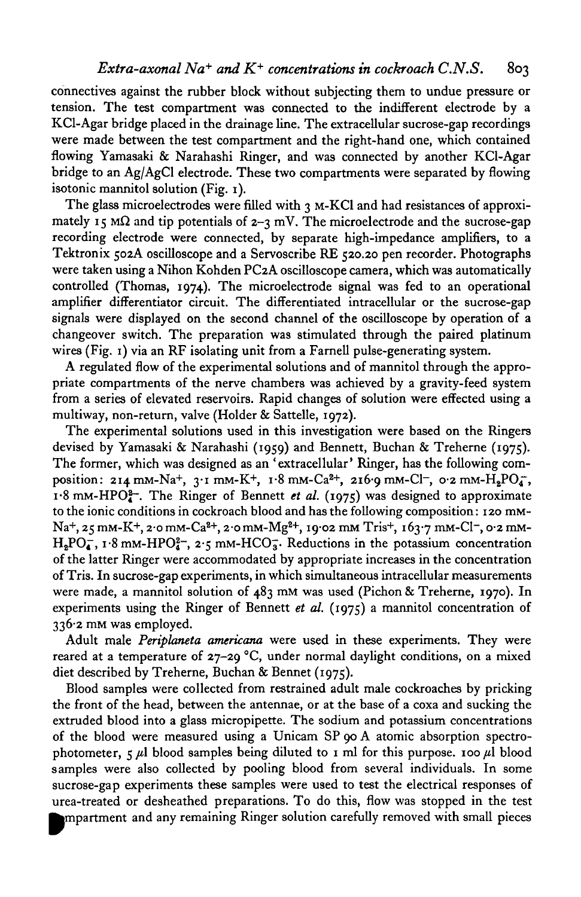connectives against the rubber block without subjecting them to undue pressure or tension. The test compartment was connected to the indifferent electrode by a KCl-Agar bridge placed in the drainage line. The extracellular sucrose-gap recordings were made between the test compartment and the right-hand one, which contained flowing Yamasaki & Narahashi Ringer, and was connected by another KCl-Agar bridge to an Ag/AgCl electrode. These two compartments were separated by flowing isotonic mannitol solution (Fig. 1).

The glass microelectrodes were filled with 3 M-KCl and had resistances of approximately 15 M $\Omega$  and tip potentials of  $2-\gamma$  mV. The microelectrode and the sucrose-gap recording electrode were connected, by separate high-impedance amplifiers, to a Tektronix 502A oscilloscope and a Servoscribe RE 520.20 pen recorder. Photographs were taken using a Nihon Kohden PC2A oscilloscope camera, which was automatically controlled (Thomas, 1974). The microelectrode signal was fed to an operational amplifier differentiator circuit. The differentiated intracellular or the sucrose-gap signals were displayed on the second channel of the oscilloscope by operation of a changeover switch. The preparation was stimulated through the paired platinum wires (Fig. 1) via an RF isolating unit from a Farnell pulse-generating system.

A regulated flow of the experimental solutions and of mannitol through the appropriate compartments of the nerve chambers was achieved by a gravity-feed system from a series of elevated reservoirs. Rapid changes of solution were effected using a multiway, non-return, valve (Holder & Sattelle, 1972).

The experimental solutions used in this investigation were based on the Ringers devised by Yamasaki & Narahashi (1959) and Bennett, Buchan & Treherne (1975). The former, which was designed as an 'extracellular' Ringer, has the following composition: 214 mm-Na<sup>+</sup>, 3.1 mm-K<sup>+</sup>, 1.8 mm-Ca<sup>2+</sup>, 216.9 mm-Cl<sup>-</sup>, 0.2 mm-H<sub>2</sub>PO<sub>4</sub><sup>-</sup>, 1.8 mM-HPO<sup>2-</sup>. The Ringer of Bennett *et al.* (1975) was designed to approximate to the ionic conditions in cockroach blood and has the following composition: 120 mM-Na+, 25 mm-K+, 2·0 mm-Ca<sup>2+</sup>, 2·0 mm-Mg<sup>2+</sup>, 19·02 mm Tris+, 163·7 mm-Cl-, 0·2 mm- $H_2PO_4^-$ ,  $I.8$  mm-HPO $_{4}^{2-}$ ,  $2.5$  mm-HCO $_{3}^{-}$ . Reductions in the potassium concentration of the latter Ringer were accommodated by appropriate increases in the concentration of Tris. In sucrose-gap experiments, in which simultaneous intracellular measurements were made, a mannitol solution of 483 mM was used (Pichon & Treherne, 1970). In experiments using the Ringer of Bennett *et al.* (1975) a mannitol concentration of 336-2 mM was employed.

Adult male *Periplaneta americana* were used in these experiments. They were reared at a temperature of  $27-29$  °C, under normal daylight conditions, on a mixed diet described by Treherne, Buchan & Bennet (1975).

Blood samples were collected from restrained adult male cockroaches by pricking the front of the head, between the antennae, or at the base of a coxa and sucking the extruded blood into a glass micropipette. The sodium and potassium concentrations of the blood were measured using a Unicam SP 90 A atomic absorption spectrophotometer,  $\zeta$   $\mu$ l blood samples being diluted to 1 ml for this purpose. 100  $\mu$ l blood samples were also collected by pooling blood from several individuals. In some sucrose-gap experiments these samples were used to test the electrical responses of urea-treated or desheathed preparations. To do this, flow was stopped in the test<br>mpartment and any remaining Ringer solution carefully removed with small pieces partment and any remaining Ringer solution carefully removed with small pieces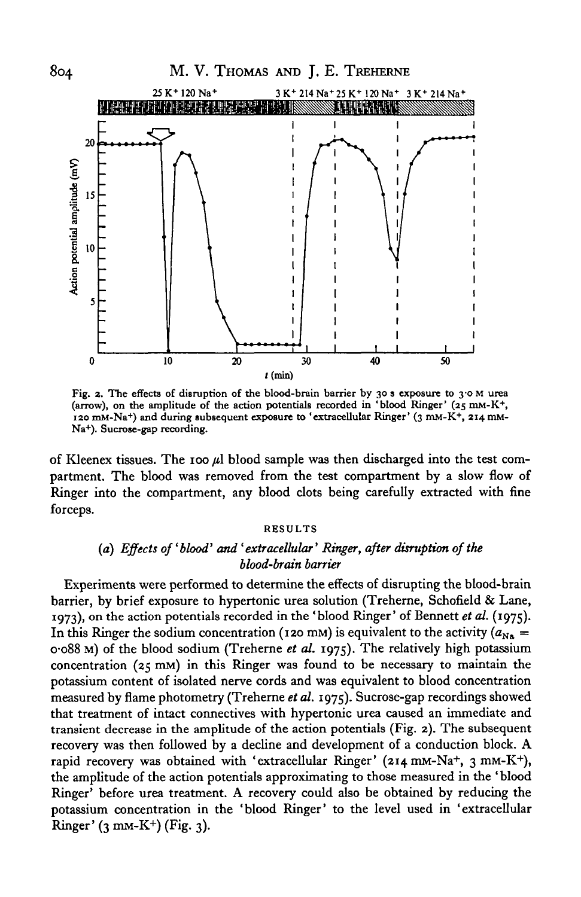

**Fig. 2. The effects of disruption of the blood-brain barrier by 30 s exposure to 3-0 M urea (arrow), on the amplitude of the action potentials recorded in 'blood Ringer' (25 mM-K<sup>+</sup> , 120 mM-Na<sup>+</sup> ) and during subsequent exposure to 'extracellular Ringer' (3 mM-K+, 214 mM-Na<sup>+</sup> ). Sucrose-gap recording.**

of Kleenex tissues. The 100 */A* blood sample was then discharged into the test compartment. The blood was removed from the test compartment by a slow flow of Ringer into the compartment, any blood clots being carefully extracted with fine forceps.

### **RESULTS**

### *(a) Effects of'blood' and 'extracellular' Ringer, after disruption of the blood-brain barrier*

Experiments were performed to determine the effects of disrupting the blood-brain barrier, by brief exposure to hypertonic urea solution (Treherne, Schofield & Lane, 1973), on the action potentials recorded in the 'blood Ringer' of Bennett *et al.* (1975). In this Ringer the sodium concentration (120 mM) is equivalent to the activity ( $a_{N\alpha} =$ 0-088 M) of the blood sodium (Treherne *et al.* 1975). The relatively high potassium concentration  $(25 \text{ mm})$  in this Ringer was found to be necessary to maintain the potassium content of isolated nerve cords and was equivalent to blood concentration measured by flame photometry (Treherne *et al.* 1975). Sucrose-gap recordings showed that treatment of intact connectives with hypertonic urea caused an immediate and transient decrease in the amplitude of the action potentials (Fig. 2). The subsequent recovery was then followed by a decline and development of a conduction block. A rapid recovery was obtained with 'extracellular Ringer' (214 mM-Na+, 3 mM-K+), the amplitude of the action potentials approximating to those measured in the ' blood Ringer' before urea treatment. A recovery could also be obtained by reducing the potassium concentration in the 'blood Ringer' to the level used in 'extracellular .<br>Ringer' (3 mm-K<sup>+</sup>) (Fig. 3).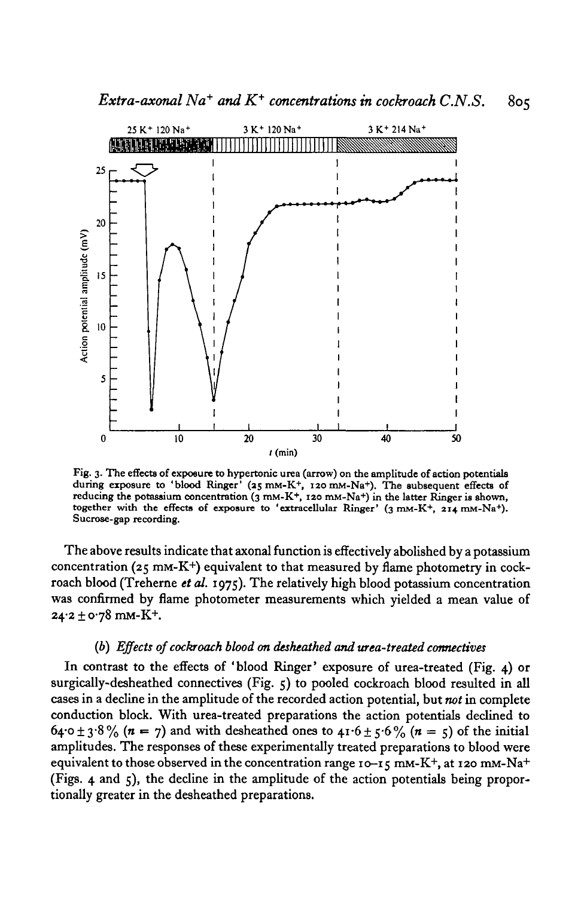

**Fig. 3. The effects of expoeure to hypertonic urea (arrow) on the amplitude of action potentials during exposure to 'blood Ringer' (as mM-K<sup>+</sup> , 120 mM-Na+). The subsequent effects of reducing the potassium concentration (3 mM-K<sup>+</sup> ( 120 mjn-Na<sup>+</sup> ) in the latter Ringer is shown, together with the effects of exposure to 'extracellular Ringer' (3 mM-K<sup>+</sup> , 214 mM-Na<sup>+</sup> ). Sucrose-gap recording.**

The above results indicate that axonal function is effectively abolished by a potassium concentration (25 mM-K+) equivalent to that measured by flame photometry in cockroach blood (Treherne *et al.* 1975). The relatively high blood potassium concentration was confirmed by flame photometer measurements which yielded a mean value of 24-2 ± 078 mM-K+ .

### *(b) Effects of cockroach blood on desheathed and urea-treated connectives*

In contrast to the effects of 'blood Ringer' exposure of urea-treated (Fig. 4) or surgically-desheathed connectives (Fig. 5) to pooled cockroach blood resulted in all cases in a decline in the amplitude of the recorded action potential, but *not* in complete conduction block. With urea-treated preparations the action potentials declined to 64.0 ± 3.8% ( $n = 7$ ) and with desheathed ones to 41.6 ± 5.6% ( $n = 5$ ) of the initial amplitudes. The responses of these experimentally treated preparations to blood were equivalent to those observed in the concentration range 10-15 mm-K+, at 120 mm-Na+ (Figs. 4 and 5), the decline in the amplitude of the action potentials being proportionally greater in the desheathed preparations.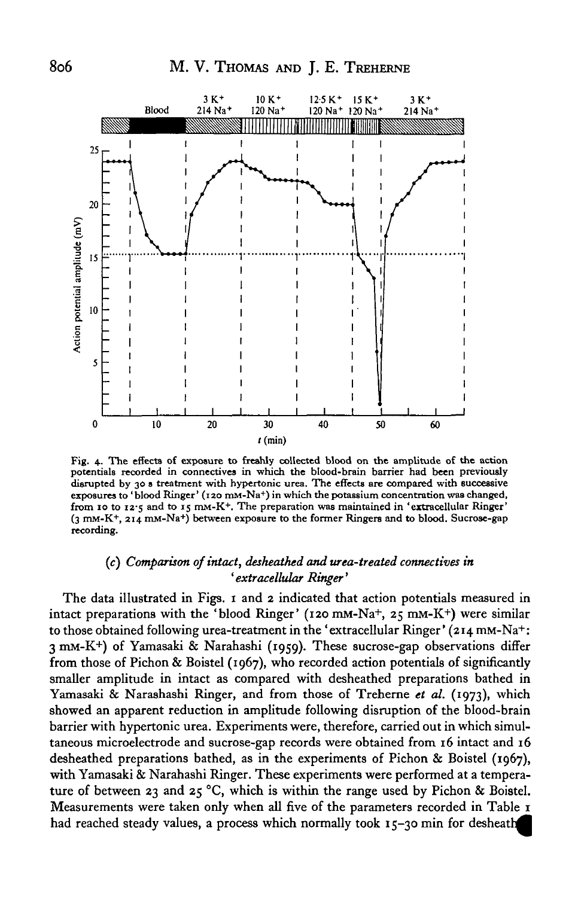

**i i i Fig. 4. The effects of exposure to freshly collected blood on the amplitude of the action potentials recorded in connectives in which the blood-brain barrier had been previously disrupted by 30 s treatment with hypertonic urea. The effects are compared with successive exposures to 'blood Ringer' (120 mM-Na+) in which the potassium concentration was changed, from 10 to 12-5 and to 15 mM-K<sup>+</sup> . The preparation was maintained in 'extracellular Ringer' (3 mM-K<sup>+</sup> , 214 mM-Na<sup>+</sup> ) between exposure to the former Ringers and to blood. Sucrose-gap recording.**

### (c) *Comparison of intact, deskeathed and urea-treated connectives in* ' *extracellular Ringer'*

The data illustrated in Figs. 1 and 2 indicated that action potentials measured in intact preparations with the 'blood Ringer' (120 mM-Na+, 25 mM-K+) were similar to those obtained following urea-treatment in the 'extracellular Ringer' (214 mM-Na+: 3 mM-K+) of Yamasaki & Narahashi (1959). These sucrose-gap observations differ from those of Pichon & Boistel (1967), who recorded action potentials of significantly smaller amplitude in intact as compared with desheathed preparations bathed in Yamasaki & Narashashi Ringer, and from those of Treherne *et al.* (1973), which showed an apparent reduction in amplitude following disruption of the blood-brain barrier with hypertonic urea. Experiments were, therefore, carried out in which simultaneous microelectrode and sucrose-gap records were obtained from 16 intact and 16 desheathed preparations bathed, as in the experiments of Pichon & Boistel (1967), with Yamasaki & Narahashi Ringer. These experiments were performed at a temperature of between 23 and 25 °C, which is within the range used by Pichon & Boistel. Measurements were taken only when all five of the parameters recorded in Table 1 had reached steady values, a process which normally took 15-30 min for desheath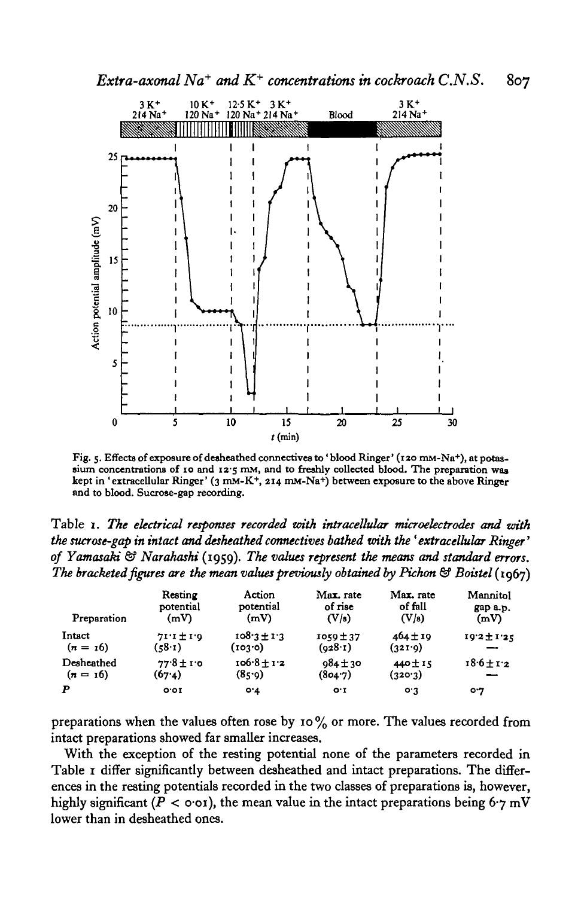*Extra-axonal*  $Na^+$  *and*  $K^+$  *concentrations in cockroach* C.N.S. 807



**Fig. 5. Effects of exposure of desheathed connectives to ' blood Ringer' (120 mM-Na<sup>+</sup> ), at potassium concentrations of 10 and 12-5 mM, and to freshly collected blood. The preparation was kept in 'extracellular Ringer' (3 mM-K<sup>+</sup> , 214 mM-Na+) between exposure to the above Ringer and to blood. Sucrose-gap recording.**

Table 1. *The electrical responses recorded with tntraceUular microelectrodes and with the sucrose-gap in intact and desheathed connectives bathed with the ' extracellular Ringer*' *of Yamasaki & Narahashi* (1959). *The values represent the means and standard errors. The bracketed figures are the mean values previously obtained by Pichon & Boistel* (1967)

| Preparation | Resting        | Action          | Max. rate     | Max. rate    | Mannitol        |
|-------------|----------------|-----------------|---------------|--------------|-----------------|
|             | potential      | potential       | of rise       | of fall      | gap a.p.        |
|             | (mV)           | (mV)            | (V/s)         | (V/s)        | (mV)            |
| Intact      | $71.1 \pm 1.0$ | $108.3 \pm 1.3$ | $1059 \pm 37$ | $464 \pm 19$ | $19.2 \pm 1.25$ |
| $(n = 16)$  | (58.1)         | (103.0)         | (028.1)       | (321.9)      |                 |
| Desheathed  | $77.8 \pm 1.0$ | $106.8 + 1.2$   | $984 \pm 30$  | 440 ± 15     | $18.6 \pm 1.2$  |
| $(n = 16)$  | (67.4)         | (8, 9)          | (804.7)       | (320.3)      |                 |
| P           | O O I          | $O^4$           | $O^T$         | 0.3          | 07              |

preparations when the values often rose by 10% or more. The values recorded from intact preparations showed far smaller increases.

With the exception of the resting potential none of the parameters recorded in Table 1 differ significantly between desheathed and intact preparations. The differences in the resting potentials recorded in the two classes of preparations is, however, highly significant ( $P < \text{o} \cdot \text{o} \cdot \text{r}$ ), the mean value in the intact preparations being 6 $\cdot \text{r}$  mV lower than in desheathed ones.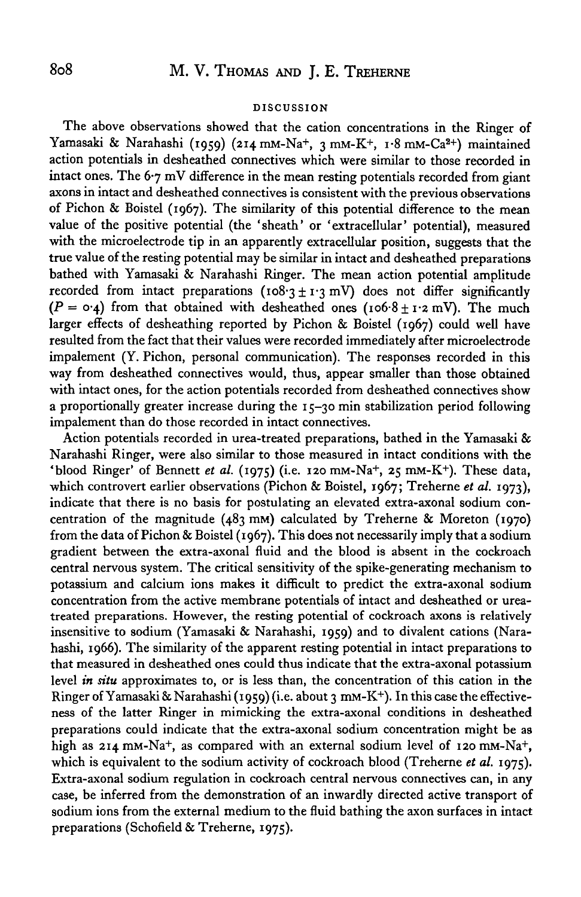### **DISCUSSION**

The above observations showed that the cation concentrations in the Ringer of Yamasaki & Narahashi (1959) (214 mm-Na+, 3 mm-K+, 1.8 mm-Ca<sup>2+</sup>) maintained action potentials in desheathed connectives which were similar to those recorded in intact ones. The 6-7 mV difference in the mean resting potentials recorded from giant axons in intact and desheathed connectives is consistent with the previous observations of Pichon & Boistel (1967). The similarity of this potential difference to the mean value of the positive potential (the 'sheath' or 'extracellular' potential), measured with the microelectrode tip in an apparently extracellular position, suggests that the true value of the resting potential may be similar in intact and desheathed preparations bathed with Yamasaki & Narahashi Ringer. The mean action potential amplitude recorded from intact preparations ( $108.3 \pm 1.3$  mV) does not differ significantly  $(P = 0.4)$  from that obtained with desheathed ones (106.8 ± 1.2 mV). The much larger effects of desheathing reported by Pichon & Boistel (1967) could well have resulted from the fact that their values were recorded immediately after microelectrode impalement (Y. Pichon, personal communication). The responses recorded in this way from desheathed connectives would, thus, appear smaller than those obtained with intact ones, for the action potentials recorded from desheathed connectives show a proportionally greater increase during the  $15-30$  min stabilization period following impalement than do those recorded in intact connectives.

Action potentials recorded in urea-treated preparations, bathed in the Yamasaki & Narahashi Ringer, were also similar to those measured in intact conditions with the 'blood Ringer' of Bennett et al. (1975) (i.e. 120 mm-Na<sup>+</sup>, 25 mm-K<sup>+</sup>). These data, which controvert earlier observations (Pichon & Boistel, 1967; Treherne *et al.* 1973), indicate that there is no basis for postulating an elevated extra-axonal sodium concentration of the magnitude (483 mM) calculated by Treherne & Moreton (1970) from the data of Pichon & Boistel (1967). This does not necessarily imply that a sodium gradient between the extra-axonal fluid and the blood is absent in the cockroach central nervous system. The critical sensitivity of the spike-generating mechanism to potassium and calcium ions makes it difficult to predict the extra-axonal sodium concentration from the active membrane potentials of intact and desheathed or ureatreated preparations. However, the resting potential of cockroach axons is relatively insensitive to sodium (Yamasaki & Narahashi, 1959) and to divalent cations (Narahashi, 1966). The similarity of the apparent resting potential in intact preparations to that measured in desheathed ones could thus indicate that the extra-axonal potassium level *in situ* approximates to, or is less than, the concentration of this cation in the Ringer of Yamasaki & Narahashi (1959) (i.e. about 3 mM-K<sup>+</sup> ). In this case the effectiveness of the latter Ringer in mimicking the extra-axonal conditions in desheathed preparations could indicate that the extra-axonal sodium concentration might be as high as 214 mM-Na+, as compared with an external sodium level of 120 mM-Na+, which is equivalent to the sodium activity of cockroach blood (Treherne *et al.* 1975). Extra-axonal sodium regulation in cockroach central nervous connectives can, in any case, be inferred from the demonstration of an inwardly directed active transport of sodium ions from the external medium to the fluid bathing the axon surfaces in intact preparations (Schofield & Treherne, 1975).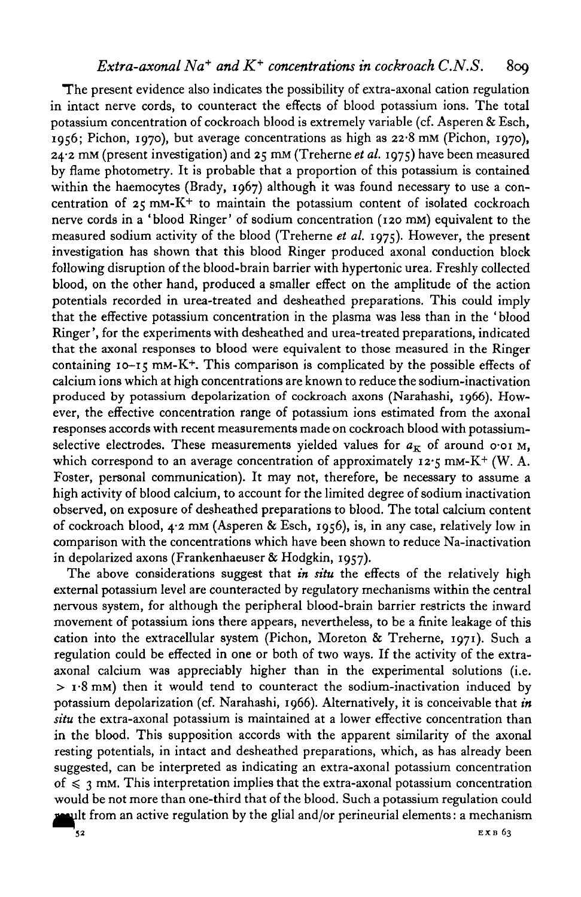The present evidence also indicates the possibility of extra-axonal cation regulation in intact nerve cords, to counteract the effects of blood potassium ions. The total potassium concentration of cockroach blood is extremely variable (cf. Asperen & Esch, 1956; Pichon, 1970), but average concentrations as high as 22-8 mM (Pichon, 1970), 24-2 mM (present investigation) and 25 mM (Treherne *et al.* 1975) have been measured by flame photometry. It is probable that a proportion of this potassium is contained within the haemocytes (Brady, 1967) although it was found necessary to use a concentration of  $25 \text{ mm} - \text{K}^+$  to maintain the potassium content of isolated cockroach nerve cords in a 'blood Ringer' of sodium concentration (120 mM) equivalent to the measured sodium activity of the blood (Treherne *et al.* 1975)- However, the present investigation has shown that this blood Ringer produced axonal conduction block following disruption of the blood-brain barrier with hypertonic urea. Freshly collected blood, on the other hand, produced a smaller effect on the amplitude of the action potentials recorded in urea-treated and desheathed preparations. This could imply that the effective potassium concentration in the plasma was less than in the ' blood Ringer', for the experiments with desheathed and urea-treated preparations, indicated that the axonal responses to blood were equivalent to those measured in the Ringer containing 10-15 mM-K+ . This comparison is complicated by the possible effects of calcium ions which at high concentrations are known to reduce the sodium-inactivation produced by potassium depolarization of cockroach axons (Narahashi, 1966). However, the effective concentration range of potassium ions estimated from the axonal responses accords with recent measurements made on cockroach blood with potassiumselective electrodes. These measurements yielded values for  $a_K$  of around o-oi M, which correspond to an average concentration of approximately  $12\cdot5$  mM-K<sup>+</sup> (W. A. Foster, personal communication). It may not, therefore, be necessary to assume a high activity of blood calcium, to account for the limited degree of sodium inactivation observed, on exposure of desheathed preparations to blood. The total calcium content of cockroach blood,  $4.2$  mM (Asperen & Esch, 1956), is, in any case, relatively low in comparison with the concentrations which have been shown to reduce Na-inactivation in depolarized axons (Frankenhaeuser & Hodgkin, 1957).

The above considerations suggest that *in situ* the effects of the relatively high external potassium level are counteracted by regulatory mechanisms within the central nervous system, for although the peripheral blood-brain barrier restricts the inward movement of potassium ions there appears, nevertheless, to be a finite leakage of this cation into the extracellular system (Pichon, Moreton & Treherne, 1971). Such a regulation could be effected in one or both of two ways. If the activity of the extraaxonal calcium was appreciably higher than in the experimental solutions (i.e.  $>$  1.8 mM) then it would tend to counteract the sodium-inactivation induced by potassium depolarization (cf. Narahashi, 1966). Alternatively, it is conceivable that *in situ* the extra-axonal potassium is maintained at a lower effective concentration than in the blood. This supposition accords with the apparent similarity of the axonal resting potentials, in intact and desheathed preparations, which, as has already been suggested, can be interpreted as indicating an extra-axonal potassium concentration of  $\leq$  3 mm. This interpretation implies that the extra-axonal potassium concentration would be not more than one-third that of the blood. Such a potassium regulation could  $\mu$ ult from an active regulation by the glial and/or perineurial elements: a mechanism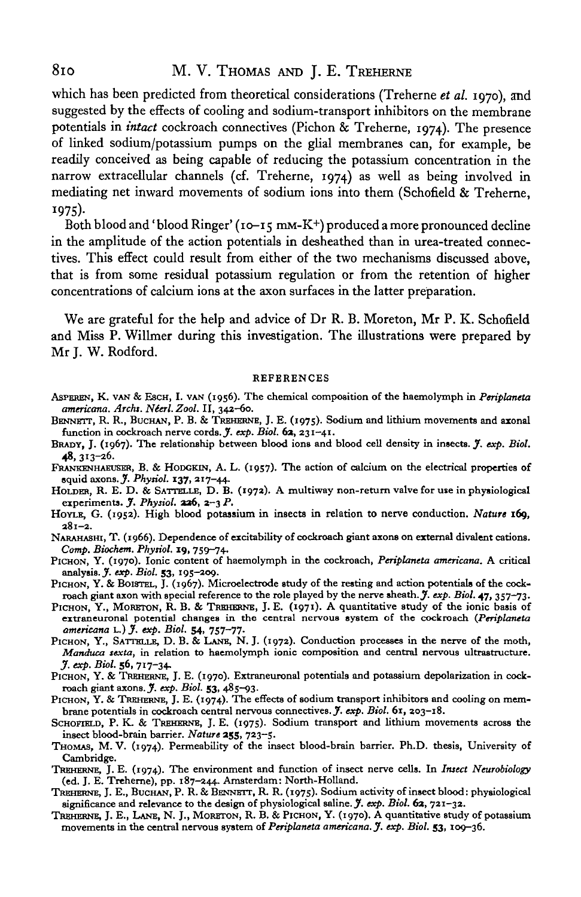## 810 M. V. THOMAS AND J. E. TREHERNE

which has been predicted from theoretical considerations (Treherne *et al.* 1970), and suggested by the effects of cooling and sodium-transport inhibitors on the membrane potentials in *intact* cockroach connectives (Pichon & Treherne, 1974). The presence of linked sodium/potassium pumps on the glial membranes can, for example, be readily conceived as being capable of reducing the potassium concentration in the narrow extracellular channels (cf. Treherne, 1974) as well as being involved in mediating net inward movements of sodium ions into them (Schofield & Treherne, 1975)- Both blood and' blood Ringer' (10-15 mM-K+) produced a more pronounced decline

in the amplitude of the action potentials in desheathed than in urea-treated connectives. This effect could result from either of the two mechanisms discussed above, that is from some residual potassium regulation or from the retention of higher concentrations of calcium ions at the axon surfaces in the latter preparation.

We are grateful for the help and advice of Dr R. B. Moreton, Mr P. K. Schofield and Miss P. Willmer during this investigation. The illustrations were prepared by Mr I. W. Rodford.

#### **REFERENCES**

- ASPBREN, K. VAN & ESCH, I. VAN (1956). The chemical composition of the haemolymph in *Periplaneta*
- *BENNETT, R. R., BUCHAN, P. B. & TREHERNE, J. E. (1975).* Sodium and lithium movements and axonal function in cockroach nerve cords. *J. exp. Biol.* 62, 231-41.
- function in cockroach nerve cords. J'. *exp. Biol.* 6a, 231-41. BRADY, J. (1967). The relationship between blood ions and blood cell density in insects. J'. *exp. Biol.*
- 48, 313-26.<br>FRANKENHAEUSER, B. & HODGKIN, A. L. (1957). The action of calcium on the electrical properties of squid axons.  $\tilde{J}$ . Physiol. 137, 217-44.
- HOLDER, R. E. D. & SATTELLE, D. B. (1972). A multiway non-return valve for use in physiological experiments. *J. Physiol.* 226, 2-3 P.
- HOYLE, G. (1952). High blood potassium in insects in relation to nerve conduction. *Nature* **169,**
- NARAHASHI, T. (1966). Dependence of excitability of cockroach giant axons on external divalent cations.<br>Comp. Biochem. Physiol. 19, 759–74.
- PICHON, Y. (1970). Ionic content of haemolymph in the cockroach, *Periplaneta americana*. A critical analysis. *J. exp. Biol.* 53, 195-209.
- PICHON, Y. & BOISTEL, J. (1967). Microelectrode study of the resting and action potentials of the cockroach giant axon with special reference to the role played by the nerve sheath. *J. exp. Biol.* 47, 357–73.<br>PICHON, Y.,
- extraneuronal potential changes in the central nervous system of the cockroach (Periplaneta americana L.) J. exp. Biol. 54, 757-77.
- PICHON, Y., SATTELLE, D. B. & LANE, N. J. (1972). Conduction processes in the nerve of the moth, Manduca sexta, in relation to haemolymph ionic composition and central nervous ultrastructure.
- *J. exp. Biol.* 56, 717-34.<br>PICHON, Y. & TREHERNE, J. E. (1970). Extraneuronal potentials and potassium depolarization in cockroach giant axons. *J. exp. Biol.* 53, 485-93.<br>PICHON, Y. & TREHERNE, J. E. (1974). The effects
- 
- 
- THOMAS, M. V. (1974). Permeability of the insect blood-brain barrier. Ph.D. thesis, University of
- Cambridge.<br>
TREHERNE, J. E. (1974). The environment and function of insect nerve cells. In *Insect Neurobiology*<br>
(ed. J. E. Treherne), pp. 187–244. Amsterdam: North-Holland.
- TREHERNE, J. E., BUCHAN, P. R. & BENNETT, R. R. (1975). Sodium activity of insect blood: physiological significance and relevance to the design of physiological saline.  $\tilde{y}$ . exp. Biol. 62, 721-32.
- TREHERNE, J. E., LANE, N. J., MORETON, R. B. & PICHON, Y. (1970). A quantitative study of potassium movements in the central nervous system of *Periplaneta americana. J. exp. Biol.* **53,** 109-36.